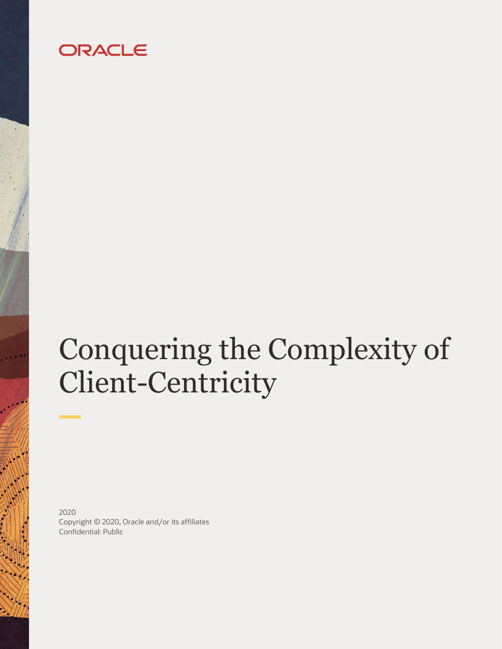# ORACLE

# Conquering the Complexity of Client-Centricity

2020 Copyright © 2020, Oracle and/or its affiliates Confidential: Public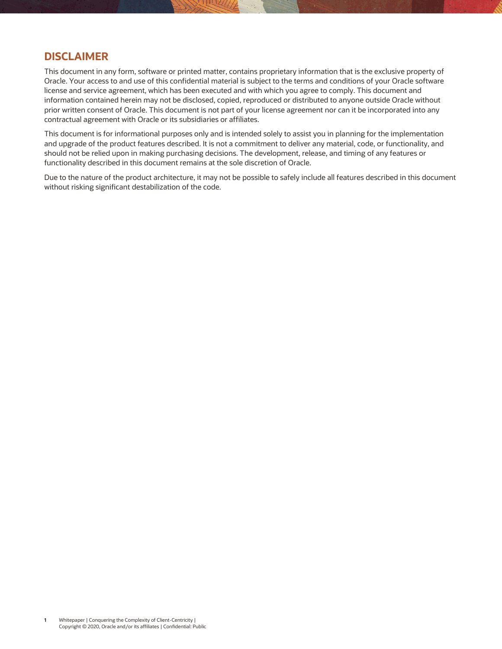# **DISCLAIMER**

This document in any form, software or printed matter, contains proprietary information that is the exclusive property of Oracle. Your access to and use of this confidential material is subject to the terms and conditions of your Oracle software license and service agreement, which has been executed and with which you agree to comply. This document and information contained herein may not be disclosed, copied, reproduced or distributed to anyone outside Oracle without prior written consent of Oracle. This document is not part of your license agreement nor can it be incorporated into any contractual agreement with Oracle or its subsidiaries or affiliates.

This document is for informational purposes only and is intended solely to assist you in planning for the implementation and upgrade of the product features described. It is not a commitment to deliver any material, code, or functionality, and should not be relied upon in making purchasing decisions. The development, release, and timing of any features or functionality described in this document remains at the sole discretion of Oracle.

Due to the nature of the product architecture, it may not be possible to safely include all features described in this document without risking significant destabilization of the code.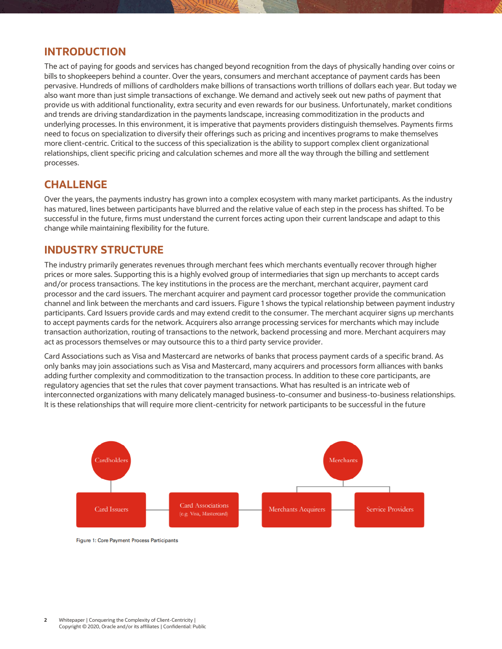# **INTRODUCTION**

The act of paying for goods and services has changed beyond recognition from the days of physically handing over coins or bills to shopkeepers behind a counter. Over the years, consumers and merchant acceptance of payment cards has been pervasive. Hundreds of millions of cardholders make billions of transactions worth trillions of dollars each year. But today we also want more than just simple transactions of exchange. We demand and actively seek out new paths of payment that provide us with additional functionality, extra security and even rewards for our business. Unfortunately, market conditions and trends are driving standardization in the payments landscape, increasing commoditization in the products and underlying processes. In this environment, it is imperative that payments providers distinguish themselves. Payments firms need to focus on specialization to diversify their offerings such as pricing and incentives programs to make themselves more client-centric. Critical to the success of this specialization is the ability to support complex client organizational relationships, client specific pricing and calculation schemes and more all the way through the billing and settlement processes.

# **CHALLENGE**

Over the years, the payments industry has grown into a complex ecosystem with many market participants. As the industry has matured, lines between participants have blurred and the relative value of each step in the process has shifted. To be successful in the future, firms must understand the current forces acting upon their current landscape and adapt to this change while maintaining flexibility for the future.

# **INDUSTRY STRUCTURE**

The industry primarily generates revenues through merchant fees which merchants eventually recover through higher prices or more sales. Supporting this is a highly evolved group of intermediaries that sign up merchants to accept cards and/or process transactions. The key institutions in the process are the merchant, merchant acquirer, payment card processor and the card issuers. The merchant acquirer and payment card processor together provide the communication channel and link between the merchants and card issuers. Figure 1 shows the typical relationship between payment industry participants. Card Issuers provide cards and may extend credit to the consumer. The merchant acquirer signs up merchants to accept payments cards for the network. Acquirers also arrange processing services for merchants which may include transaction authorization, routing of transactions to the network, backend processing and more. Merchant acquirers may act as processors themselves or may outsource this to a third party service provider.

Card Associations such as Visa and Mastercard are networks of banks that process payment cards of a specific brand. As only banks may join associations such as Visa and Mastercard, many acquirers and processors form alliances with banks adding further complexity and commoditization to the transaction process. In addition to these core participants, are regulatory agencies that set the rules that cover payment transactions. What has resulted is an intricate web of interconnected organizations with many delicately managed business-to-consumer and business-to-business relationships. It is these relationships that will require more client-centricity for network participants to be successful in the future



Figure 1: Core Payment Process Participants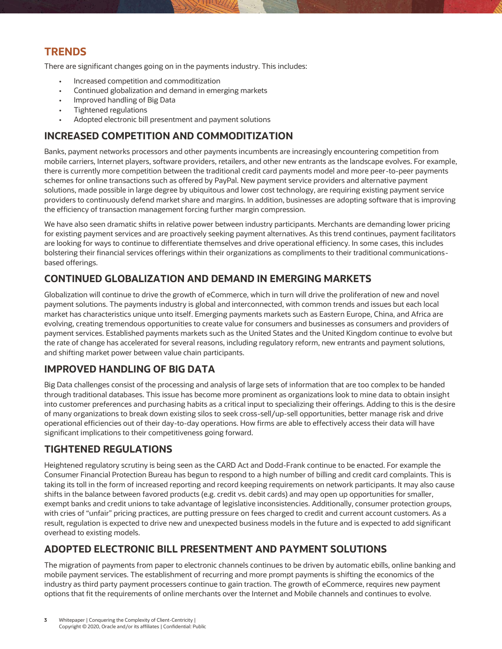# **TRENDS**

There are significant changes going on in the payments industry. This includes:

- Increased competition and commoditization
- Continued globalization and demand in emerging markets
- Improved handling of Big Data
- Tightened regulations
- Adopted electronic bill presentment and payment solutions

# **INCREASED COMPETITION AND COMMODITIZATION**

Banks, payment networks processors and other payments incumbents are increasingly encountering competition from mobile carriers, Internet players, software providers, retailers, and other new entrants as the landscape evolves. For example, there is currently more competition between the traditional credit card payments model and more peer-to-peer payments schemes for online transactions such as offered by PayPal. New payment service providers and alternative payment solutions, made possible in large degree by ubiquitous and lower cost technology, are requiring existing payment service providers to continuously defend market share and margins. In addition, businesses are adopting software that is improving the efficiency of transaction management forcing further margin compression.

We have also seen dramatic shifts in relative power between industry participants. Merchants are demanding lower pricing for existing payment services and are proactively seeking payment alternatives. As this trend continues, payment facilitators are looking for ways to continue to differentiate themselves and drive operational efficiency. In some cases, this includes bolstering their financial services offerings within their organizations as compliments to their traditional communicationsbased offerings.

# **CONTINUED GLOBALIZATION AND DEMAND IN EMERGING MARKETS**

Globalization will continue to drive the growth of eCommerce, which in turn will drive the proliferation of new and novel payment solutions. The payments industry is global and interconnected, with common trends and issues but each local market has characteristics unique unto itself. Emerging payments markets such as Eastern Europe, China, and Africa are evolving, creating tremendous opportunities to create value for consumers and businesses as consumers and providers of payment services. Established payments markets such as the United States and the United Kingdom continue to evolve but the rate of change has accelerated for several reasons, including regulatory reform, new entrants and payment solutions, and shifting market power between value chain participants.

# **IMPROVED HANDLING OF BIG DATA**

Big Data challenges consist of the processing and analysis of large sets of information that are too complex to be handed through traditional databases. This issue has become more prominent as organizations look to mine data to obtain insight into customer preferences and purchasing habits as a critical input to specializing their offerings. Adding to this is the desire of many organizations to break down existing silos to seek cross-sell/up-sell opportunities, better manage risk and drive operational efficiencies out of their day-to-day operations. How firms are able to effectively access their data will have significant implications to their competitiveness going forward.

# **TIGHTENED REGULATIONS**

Heightened regulatory scrutiny is being seen as the CARD Act and Dodd-Frank continue to be enacted. For example the Consumer Financial Protection Bureau has begun to respond to a high number of billing and credit card complaints. This is taking its toll in the form of increased reporting and record keeping requirements on network participants. It may also cause shifts in the balance between favored products (e.g. credit vs. debit cards) and may open up opportunities for smaller, exempt banks and credit unions to take advantage of legislative inconsistencies. Additionally, consumer protection groups, with cries of "unfair" pricing practices, are putting pressure on fees charged to credit and current account customers. As a result, regulation is expected to drive new and unexpected business models in the future and is expected to add significant overhead to existing models.

# **ADOPTED ELECTRONIC BILL PRESENTMENT AND PAYMENT SOLUTIONS**

The migration of payments from paper to electronic channels continues to be driven by automatic ebills, online banking and mobile payment services. The establishment of recurring and more prompt payments is shifting the economics of the industry as third party payment processers continue to gain traction. The growth of eCommerce, requires new payment options that fit the requirements of online merchants over the Internet and Mobile channels and continues to evolve.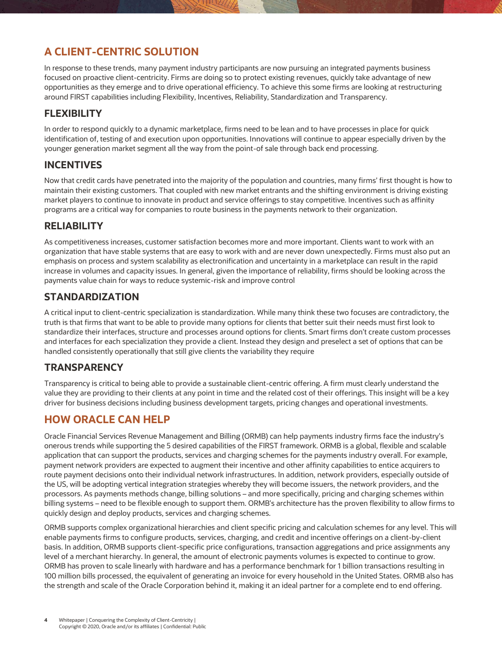# **A CLIENT-CENTRIC SOLUTION**

In response to these trends, many payment industry participants are now pursuing an integrated payments business focused on proactive client-centricity. Firms are doing so to protect existing revenues, quickly take advantage of new opportunities as they emerge and to drive operational efficiency. To achieve this some firms are looking at restructuring around FIRST capabilities including Flexibility, Incentives, Reliability, Standardization and Transparency.

# **FLEXIBILITY**

In order to respond quickly to a dynamic marketplace, firms need to be lean and to have processes in place for quick identification of, testing of and execution upon opportunities. Innovations will continue to appear especially driven by the younger generation market segment all the way from the point-of sale through back end processing.

# **INCENTIVES**

Now that credit cards have penetrated into the majority of the population and countries, many firms' first thought is how to maintain their existing customers. That coupled with new market entrants and the shifting environment is driving existing market players to continue to innovate in product and service offerings to stay competitive. Incentives such as affinity programs are a critical way for companies to route business in the payments network to their organization.

# **RELIABILITY**

As competitiveness increases, customer satisfaction becomes more and more important. Clients want to work with an organization that have stable systems that are easy to work with and are never down unexpectedly. Firms must also put an emphasis on process and system scalability as electronification and uncertainty in a marketplace can result in the rapid increase in volumes and capacity issues. In general, given the importance of reliability, firms should be looking across the payments value chain for ways to reduce systemic-risk and improve control

# **STANDARDIZATION**

A critical input to client-centric specialization is standardization. While many think these two focuses are contradictory, the truth is that firms that want to be able to provide many options for clients that better suit their needs must first look to standardize their interfaces, structure and processes around options for clients. Smart firms don't create custom processes and interfaces for each specialization they provide a client. Instead they design and preselect a set of options that can be handled consistently operationally that still give clients the variability they require

# **TRANSPARENCY**

Transparency is critical to being able to provide a sustainable client-centric offering. A firm must clearly understand the value they are providing to their clients at any point in time and the related cost of their offerings. This insight will be a key driver for business decisions including business development targets, pricing changes and operational investments.

# **HOW ORACLE CAN HELP**

Oracle Financial Services Revenue Management and Billing (ORMB) can help payments industry firms face the industry's onerous trends while supporting the 5 desired capabilities of the FIRST framework. ORMB is a global, flexible and scalable application that can support the products, services and charging schemes for the payments industry overall. For example, payment network providers are expected to augment their incentive and other affinity capabilities to entice acquirers to route payment decisions onto their individual network infrastructures. In addition, network providers, especially outside of the US, will be adopting vertical integration strategies whereby they will become issuers, the network providers, and the processors. As payments methods change, billing solutions – and more specifically, pricing and charging schemes within billing systems – need to be flexible enough to support them. ORMB's architecture has the proven flexibility to allow firms to quickly design and deploy products, services and charging schemes.

ORMB supports complex organizational hierarchies and client specific pricing and calculation schemes for any level. This will enable payments firms to configure products, services, charging, and credit and incentive offerings on a client-by-client basis. In addition, ORMB supports client-specific price configurations, transaction aggregations and price assignments any level of a merchant hierarchy. In general, the amount of electronic payments volumes is expected to continue to grow. ORMB has proven to scale linearly with hardware and has a performance benchmark for 1 billion transactions resulting in 100 million bills processed, the equivalent of generating an invoice for every household in the United States. ORMB also has the strength and scale of the Oracle Corporation behind it, making it an ideal partner for a complete end to end offering.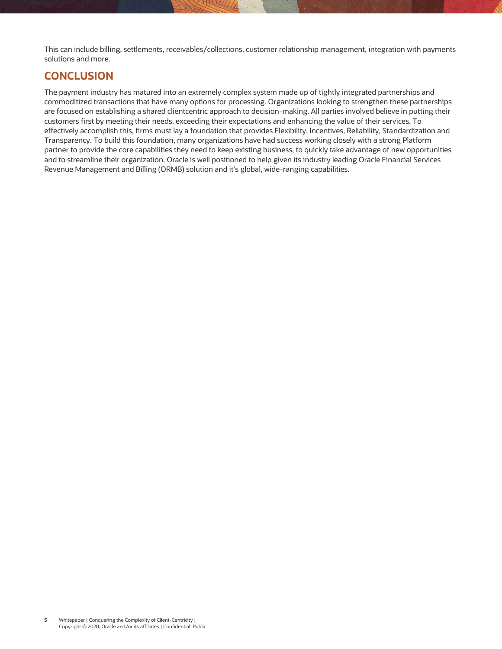This can include billing, settlements, receivables/collections, customer relationship management, integration with payments solutions and more.

# **CONCLUSION**

The payment industry has matured into an extremely complex system made up of tightly integrated partnerships and commoditized transactions that have many options for processing. Organizations looking to strengthen these partnerships are focused on establishing a shared clientcentric approach to decision-making. All parties involved believe in putting their customers first by meeting their needs, exceeding their expectations and enhancing the value of their services. To effectively accomplish this, firms must lay a foundation that provides Flexibility, Incentives, Reliability, Standardization and Transparency. To build this foundation, many organizations have had success working closely with a strong Platform partner to provide the core capabilities they need to keep existing business, to quickly take advantage of new opportunities and to streamline their organization. Oracle is well positioned to help given its industry leading Oracle Financial Services Revenue Management and Billing (ORMB) solution and it's global, wide-ranging capabilities.